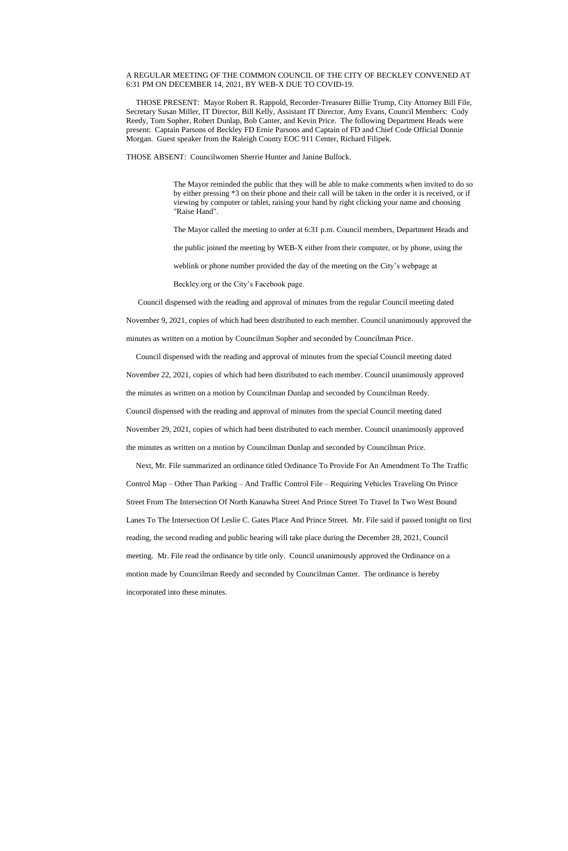## A REGULAR MEETING OF THE COMMON COUNCIL OF THE CITY OF BECKLEY CONVENED AT 6:31 PM ON DECEMBER 14, 2021, BY WEB-X DUE TO COVID-19.

 THOSE PRESENT: Mayor Robert R. Rappold, Recorder-Treasurer Billie Trump, City Attorney Bill File, Secretary Susan Miller, IT Director, Bill Kelly, Assistant IT Director, Amy Evans, Council Members: Cody Reedy, Tom Sopher, Robert Dunlap, Bob Canter, and Kevin Price. The following Department Heads were present: Captain Parsons of Beckley FD Ernie Parsons and Captain of FD and Chief Code Official Donnie Morgan. Guest speaker from the Raleigh County EOC 911 Center, Richard Filipek.

THOSE ABSENT: Councilwomen Sherrie Hunter and Janine Bullock.

The Mayor reminded the public that they will be able to make comments when invited to do so by either pressing \*3 on their phone and their call will be taken in the order it is received, or if viewing by computer or tablet, raising your hand by right clicking your name and choosing "Raise Hand".

The Mayor called the meeting to order at 6:31 p.m. Council members, Department Heads and

the public joined the meeting by WEB-X either from their computer, or by phone, using the

weblink or phone number provided the day of the meeting on the City's webpage at

Beckley.org or the City's Facebook page.

Council dispensed with the reading and approval of minutes from the regular Council meeting dated

November 9, 2021, copies of which had been distributed to each member. Council unanimously approved the

minutes as written on a motion by Councilman Sopher and seconded by Councilman Price.

Council dispensed with the reading and approval of minutes from the special Council meeting dated

November 22, 2021, copies of which had been distributed to each member. Council unanimously approved

the minutes as written on a motion by Councilman Dunlap and seconded by Councilman Reedy.

Council dispensed with the reading and approval of minutes from the special Council meeting dated

November 29, 2021, copies of which had been distributed to each member. Council unanimously approved the minutes as written on a motion by Councilman Dunlap and seconded by Councilman Price.

 Next, Mr. File summarized an ordinance titled Ordinance To Provide For An Amendment To The Traffic Control Map – Other Than Parking – And Traffic Control File – Requiring Vehicles Traveling On Prince Street From The Intersection Of North Kanawha Street And Prince Street To Travel In Two West Bound Lanes To The Intersection Of Leslie C. Gates Place And Prince Street. Mr. File said if passed tonight on first reading, the second reading and public hearing will take place during the December 28, 2021, Council meeting. Mr. File read the ordinance by title only. Council unanimously approved the Ordinance on a motion made by Councilman Reedy and seconded by Councilman Canter. The ordinance is hereby

incorporated into these minutes.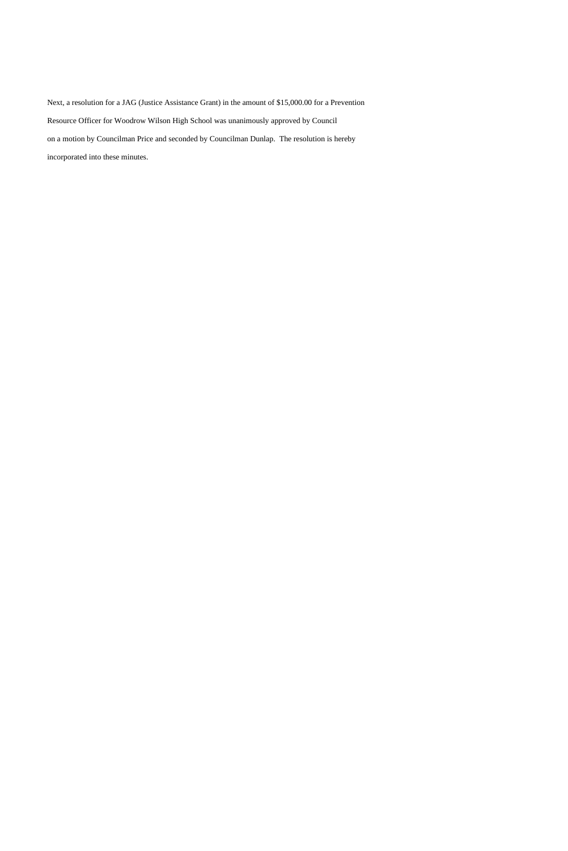Next, a resolution for a JAG (Justice Assistance Grant) in the amount of \$15,000.00 for a Prevention Resource Officer for Woodrow Wilson High School was unanimously approved by Council on a motion by Councilman Price and seconded by Councilman Dunlap. The resolution is hereby incorporated into these minutes.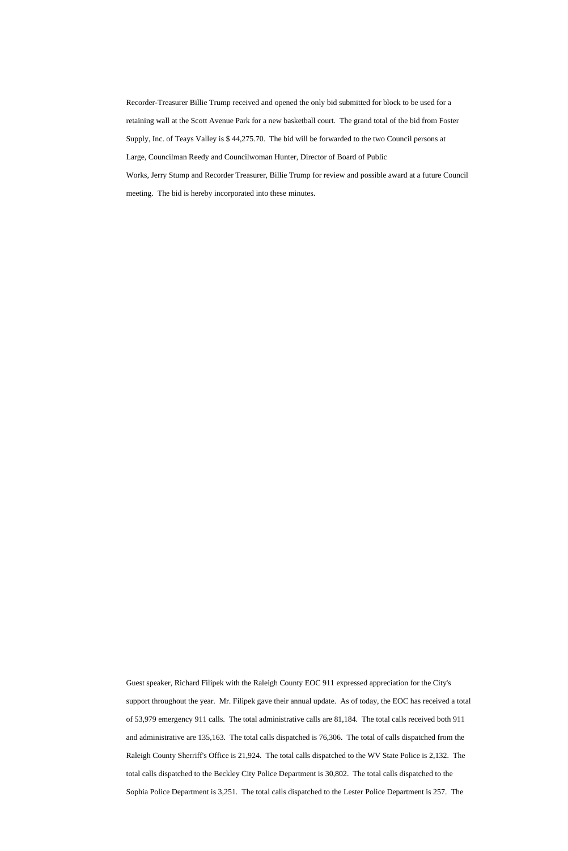Recorder-Treasurer Billie Trump received and opened the only bid submitted for block to be used for a retaining wall at the Scott Avenue Park for a new basketball court. The grand total of the bid from Foster Supply, Inc. of Teays Valley is \$ 44,275.70. The bid will be forwarded to the two Council persons at Large, Councilman Reedy and Councilwoman Hunter, Director of Board of Public Works, Jerry Stump and Recorder Treasurer, Billie Trump for review and possible award at a future Council meeting. The bid is hereby incorporated into these minutes.

Guest speaker, Richard Filipek with the Raleigh County EOC 911 expressed appreciation for the City's support throughout the year. Mr. Filipek gave their annual update. As of today, the EOC has received a total of 53,979 emergency 911 calls. The total administrative calls are 81,184. The total calls received both 911 and administrative are 135,163. The total calls dispatched is 76,306. The total of calls dispatched from the Raleigh County Sherriff's Office is 21,924. The total calls dispatched to the WV State Police is 2,132. The total calls dispatched to the Beckley City Police Department is 30,802. The total calls dispatched to the Sophia Police Department is 3,251. The total calls dispatched to the Lester Police Department is 257. The